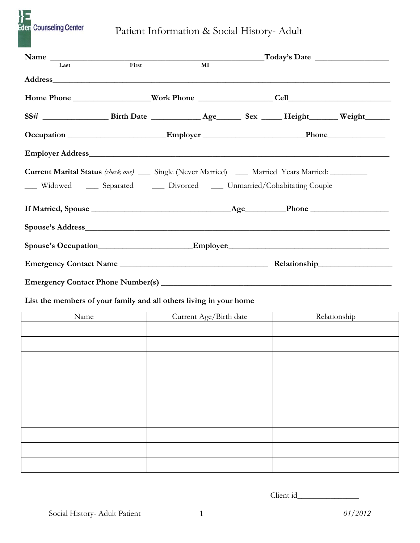

Patient Information & Social History- Adult

| Name                                                                                                                |       | <u> 1990 - Johann Barbara, martin a</u> |  | $\text{Today's Date}$ |
|---------------------------------------------------------------------------------------------------------------------|-------|-----------------------------------------|--|-----------------------|
| Last                                                                                                                | First | $\bf{M}$                                |  |                       |
|                                                                                                                     |       |                                         |  |                       |
|                                                                                                                     |       |                                         |  |                       |
| SS# _________________________Birth Date _______________________________Sex ________Height___________ Weight________ |       |                                         |  |                       |
|                                                                                                                     |       |                                         |  |                       |
|                                                                                                                     |       |                                         |  |                       |
| <b>Current Marital Status</b> (check one) ____ Single (Never Married) ____ Married Years Married: ________          |       |                                         |  |                       |
| __ Widowed ___ Separated ___ Divorced ___ Unmarried/Cohabitating Couple                                             |       |                                         |  |                       |
|                                                                                                                     |       |                                         |  |                       |
|                                                                                                                     |       |                                         |  |                       |
|                                                                                                                     |       |                                         |  |                       |
|                                                                                                                     |       |                                         |  |                       |
|                                                                                                                     |       |                                         |  |                       |
| List the members of your family and all others living in your home                                                  |       |                                         |  |                       |
| Name                                                                                                                |       | Current Age/Birth date                  |  | Relationship          |
|                                                                                                                     |       |                                         |  |                       |
|                                                                                                                     |       |                                         |  |                       |
|                                                                                                                     |       |                                         |  |                       |
|                                                                                                                     |       |                                         |  |                       |
|                                                                                                                     |       |                                         |  |                       |
|                                                                                                                     |       |                                         |  |                       |
|                                                                                                                     |       |                                         |  |                       |
|                                                                                                                     |       |                                         |  |                       |
|                                                                                                                     |       |                                         |  |                       |
|                                                                                                                     |       |                                         |  |                       |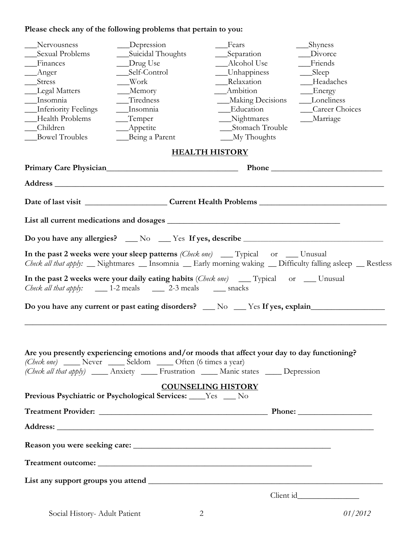# **Please check any of the following problems that pertain to you:**

| Nervousness<br>Sexual Problems<br>Finances<br>Anger<br>Stress<br>Legal Matters<br>Insomnia<br>Inferiority Feelings<br>Health Problems<br>Children | __Depression<br>Suicidal Thoughts<br>__Drug Use<br>_Self-Control<br>Work<br>$M$ emory<br>Tiredness<br>__Insomnia<br>$T$ emper<br>$\_\_$ Appetite | _Fears<br>_Separation<br>__Alcohol Use<br>__Unhappiness<br>Relaxation<br>Ambition<br><b>Making Decisions</b><br>Education<br>__Nightmares<br>Stomach Trouble                                | _Shyness<br>Divorce<br>Friends<br>$\_\_\$<br>Headaches<br>Energy<br>___Loneliness<br>Career Choices<br>__Marriage |
|---------------------------------------------------------------------------------------------------------------------------------------------------|--------------------------------------------------------------------------------------------------------------------------------------------------|---------------------------------------------------------------------------------------------------------------------------------------------------------------------------------------------|-------------------------------------------------------------------------------------------------------------------|
| <b>Bowel Troubles</b>                                                                                                                             | __Being a Parent                                                                                                                                 | $M_y$ Thoughts                                                                                                                                                                              |                                                                                                                   |
|                                                                                                                                                   |                                                                                                                                                  | <b>HEALTH HISTORY</b>                                                                                                                                                                       |                                                                                                                   |
|                                                                                                                                                   |                                                                                                                                                  |                                                                                                                                                                                             |                                                                                                                   |
|                                                                                                                                                   |                                                                                                                                                  |                                                                                                                                                                                             |                                                                                                                   |
|                                                                                                                                                   |                                                                                                                                                  |                                                                                                                                                                                             |                                                                                                                   |
|                                                                                                                                                   |                                                                                                                                                  |                                                                                                                                                                                             |                                                                                                                   |
|                                                                                                                                                   |                                                                                                                                                  | Do you have any allergies? __ No __ Yes If yes, describe _______________________                                                                                                            |                                                                                                                   |
|                                                                                                                                                   |                                                                                                                                                  | In the past 2 weeks were your sleep patterns (Check one) __ Typical or __ Unusual                                                                                                           | Check all that apply: _ Nightmares _ Insomnia _ Early morning waking _ Difficulty falling asleep _ Restless       |
|                                                                                                                                                   | Check all that apply: ______ 1-2 meals ______ 2-3 meals ______ snacks                                                                            | In the past 2 weeks were your daily eating habits (Check one) __ Typical or __ Unusual                                                                                                      |                                                                                                                   |
|                                                                                                                                                   |                                                                                                                                                  | Do you have any current or past eating disorders? __ No __ Yes If yes, explain______________________                                                                                        |                                                                                                                   |
| (Check one) _____ Never _____ Seldom _____ Often (6 times a year)                                                                                 |                                                                                                                                                  | Are you presently experiencing emotions and/or moods that affect your day to day functioning?<br>(Check all that apply) _____ Anxiety _____ Frustration _____ Manic states _____ Depression |                                                                                                                   |
| Previous Psychiatric or Psychological Services: ____Yes ___ No                                                                                    |                                                                                                                                                  | <b>COUNSELING HISTORY</b>                                                                                                                                                                   |                                                                                                                   |
|                                                                                                                                                   |                                                                                                                                                  |                                                                                                                                                                                             |                                                                                                                   |
|                                                                                                                                                   |                                                                                                                                                  |                                                                                                                                                                                             |                                                                                                                   |
|                                                                                                                                                   |                                                                                                                                                  |                                                                                                                                                                                             |                                                                                                                   |
|                                                                                                                                                   |                                                                                                                                                  |                                                                                                                                                                                             |                                                                                                                   |
|                                                                                                                                                   |                                                                                                                                                  |                                                                                                                                                                                             |                                                                                                                   |
|                                                                                                                                                   |                                                                                                                                                  |                                                                                                                                                                                             |                                                                                                                   |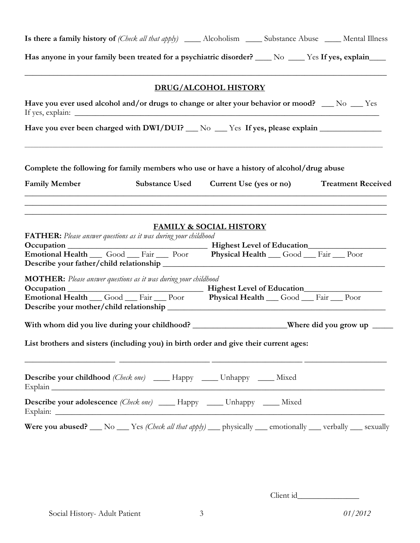| Is there a family history of (Check all that apply) _______ Alcoholism _______ Substance Abuse ______ Mental Illness |                                                                                                                                                                                                                                                                                                                     |                                        |                           |
|----------------------------------------------------------------------------------------------------------------------|---------------------------------------------------------------------------------------------------------------------------------------------------------------------------------------------------------------------------------------------------------------------------------------------------------------------|----------------------------------------|---------------------------|
|                                                                                                                      | Has anyone in your family been treated for a psychiatric disorder? _____ No _____ Yes If yes, explain____                                                                                                                                                                                                           |                                        |                           |
|                                                                                                                      |                                                                                                                                                                                                                                                                                                                     | <b>DRUG/ALCOHOL HISTORY</b>            |                           |
|                                                                                                                      | Have you ever used alcohol and/or drugs to change or alter your behavior or mood? __ No __ Yes                                                                                                                                                                                                                      |                                        |                           |
|                                                                                                                      | Have you ever been charged with DWI/DUI? __ No __ Yes If yes, please explain ___________                                                                                                                                                                                                                            |                                        |                           |
|                                                                                                                      | Complete the following for family members who use or have a history of alcohol/drug abuse                                                                                                                                                                                                                           |                                        |                           |
| <b>Family Member</b>                                                                                                 |                                                                                                                                                                                                                                                                                                                     | Substance Used Current Use (yes or no) | <b>Treatment Received</b> |
|                                                                                                                      | <b>FATHER:</b> Please answer questions as it was during your childhood<br>Emotional Health Good Fair Poor Physical Health Good Fair Poor<br>MOTHER: Please answer questions as it was during your childhood<br>With whom did you live during your childhood? _______________________Where did you grow up _________ | <b>FAMILY &amp; SOCIAL HISTORY</b>     |                           |
|                                                                                                                      | List brothers and sisters (including you) in birth order and give their current ages:<br><u> 1999 - Jan James James, martin amerikan personal (h. 1908).</u>                                                                                                                                                        |                                        |                           |
|                                                                                                                      | <b>Describe your childhood</b> (Check one) ______ Happy _____ Unhappy _____ Mixed<br>Explain explain and the set of the set of the set of the set of the set of the set of the set of the set of the set of the set of the set of the set of the set of the set of the set of the set of the set of the set of the  |                                        |                           |
|                                                                                                                      | Describe your adolescence (Check one) _____ Happy _____ Unhappy _____ Mixed                                                                                                                                                                                                                                         |                                        |                           |
|                                                                                                                      | Were you abused? __ No __ Yes (Check all that apply) __ physically __ emotionally __ verbally __ sexually                                                                                                                                                                                                           |                                        |                           |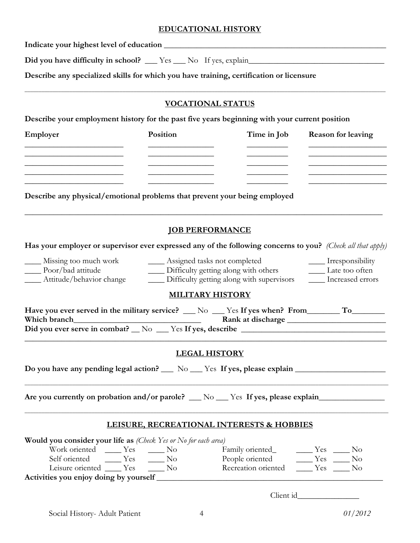## **EDUCATIONAL HISTORY**

**Indicate your highest level of education** \_\_\_\_\_\_\_\_\_\_\_\_\_\_\_\_\_\_\_\_\_\_\_\_\_\_\_\_\_\_\_\_\_\_\_\_\_\_\_\_\_\_\_\_\_\_\_\_\_\_\_\_\_\_

**Did you have difficulty in school?** \_\_\_ Yes \_\_\_ No If yes, explain\_\_\_\_\_\_\_\_\_\_\_\_\_\_\_\_\_\_\_\_\_\_\_\_\_\_\_\_\_\_\_\_\_

**Describe any specialized skills for which you have training, certification or licensure**

## **VOCATIONAL STATUS**

\_\_\_\_\_\_\_\_\_\_\_\_\_\_\_\_\_\_\_\_\_\_\_\_\_\_\_\_\_\_\_\_\_\_\_\_\_\_\_\_\_\_\_\_\_\_\_\_\_\_\_\_\_\_\_\_\_\_\_\_\_\_\_\_\_\_\_\_\_\_\_\_\_\_\_\_\_\_\_\_\_\_\_\_\_\_\_\_\_\_\_\_\_\_\_\_\_\_\_\_\_\_\_\_\_\_\_\_\_\_\_\_\_\_\_\_\_\_\_\_\_\_\_\_\_\_\_\_\_

**Describe your employment history for the past five years beginning with your current position**

| Employer                                                                  | Position | Time in Job | <b>Reason for leaving</b> |  |
|---------------------------------------------------------------------------|----------|-------------|---------------------------|--|
|                                                                           |          |             |                           |  |
|                                                                           |          |             |                           |  |
|                                                                           |          |             |                           |  |
| Describe any physical/emotional problems that prevent your being employed |          |             |                           |  |
|                                                                           |          |             |                           |  |

## **JOB PERFORMANCE**

**Has your employer or supervisor ever expressed any of the following concerns to you?** *(Check all that apply)*

\_\_\_\_ Missing too much work \_\_\_\_ Assigned tasks not completed \_\_\_\_ Irresponsibility \_\_\_\_ Poor/bad attitude \_\_\_\_ Difficulty getting along with others \_\_\_\_ Late too often \_\_\_\_ Attitude/behavior change \_\_\_\_ Difficulty getting along with supervisors \_\_\_\_ Increased errors

## **MILITARY HISTORY**

| Have you ever served in the military service? $\_\_\$ No $\_\$                 | $\mathsf{Y}\text{es}$ If yes when? From |
|--------------------------------------------------------------------------------|-----------------------------------------|
| Which branch                                                                   | Rank at discharge                       |
| Did you ever serve in combat? $\_\ N$ <sup>o</sup> $\_\_$ Yes If yes, describe |                                         |
|                                                                                |                                         |

## **LEGAL HISTORY**

\_\_\_\_\_\_\_\_\_\_\_\_\_\_\_\_\_\_\_\_\_\_\_\_\_\_\_\_\_\_\_\_\_\_\_\_\_\_\_\_\_\_\_\_\_\_\_\_\_\_\_\_\_\_\_\_\_\_\_\_\_\_\_\_\_\_\_\_\_\_\_\_\_\_\_\_\_\_\_\_\_\_\_\_\_\_\_\_\_\_\_\_\_\_\_\_\_\_\_\_\_\_\_\_\_\_\_\_\_\_\_\_\_\_\_\_\_\_\_\_\_\_\_\_\_\_\_\_\_\_

\_\_\_\_\_\_\_\_\_\_\_\_\_\_\_\_\_\_\_\_\_\_\_\_\_\_\_\_\_\_\_\_\_\_\_\_\_\_\_\_\_\_\_\_\_\_\_\_\_\_\_\_\_\_\_\_\_\_\_\_\_\_\_\_\_\_\_\_\_\_\_\_\_\_\_\_\_\_\_\_\_\_\_\_\_\_\_\_\_\_\_\_\_\_\_\_\_\_\_\_\_\_\_\_\_\_\_\_\_\_\_\_\_\_\_\_\_\_\_\_\_\_\_\_\_\_\_\_\_\_

Do you have any pending legal action? \_\_\_ No \_\_\_ Yes If yes, please explain \_\_\_\_\_\_\_\_\_\_\_\_\_\_\_\_\_\_\_\_\_\_\_\_\_\_\_\_\_\_\_\_\_\_

**Are you currently on probation and/or parole?** \_\_\_ No \_\_\_ Yes **If yes, please explain**\_\_\_\_\_\_\_\_\_\_\_\_\_\_\_\_

## **LEISURE, RECREATIONAL INTERESTS & HOBBIES**

| <b>Would you consider your life as</b> (Check Yes or No for each area) |                     |     |                     |        |    |
|------------------------------------------------------------------------|---------------------|-----|---------------------|--------|----|
| Work oriented Yes                                                      |                     | No. | Family oriented_    | Yes No |    |
| Self oriented                                                          | <b>Exercise</b> Yes | No  | People oriented     | $Y$ es | No |
| Leisure oriented Yes                                                   |                     | -No | Recreation oriented | Yes    | No |
| Activities you enjoy doing by yourself                                 |                     |     |                     |        |    |

Client id\_\_\_\_\_\_\_\_\_\_\_\_\_\_\_